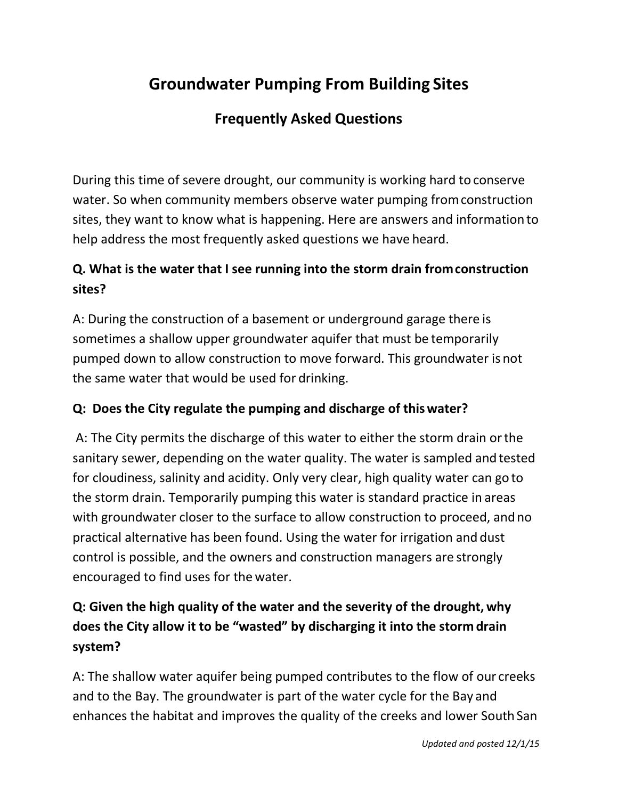# **Groundwater Pumping From Building Sites**

# **Frequently Asked Questions**

During this time of severe drought, our community is working hard to conserve water. So when community members observe water pumping fromconstruction sites, they want to know what is happening. Here are answers and information to help address the most frequently asked questions we have heard.

### **Q. What is the water that I see running into the storm drain from construction sites?**

A: During the construction of a basement or underground garage there is sometimes a shallow upper groundwater aquifer that must be temporarily pumped down to allow construction to move forward. This groundwater is not the same water that would be used for drinking.

### **Q: Does the City regulate the pumping and discharge of thiswater?**

A: The City permits the discharge of this water to either the storm drain orthe sanitary sewer, depending on the water quality. The water is sampled and tested for cloudiness, salinity and acidity. Only very clear, high quality water can go to the storm drain. Temporarily pumping this water is standard practice in areas with groundwater closer to the surface to allow construction to proceed, andno practical alternative has been found. Using the water for irrigation and dust control is possible, and the owners and construction managers are strongly encouraged to find uses for the water.

## **Q: Given the high quality of the water and the severity of the drought, why does the City allow it to be "wasted" by discharging it into the storm drain system?**

A: The shallow water aquifer being pumped contributes to the flow of our creeks and to the Bay. The groundwater is part of the water cycle for the Bay and enhances the habitat and improves the quality of the creeks and lower South San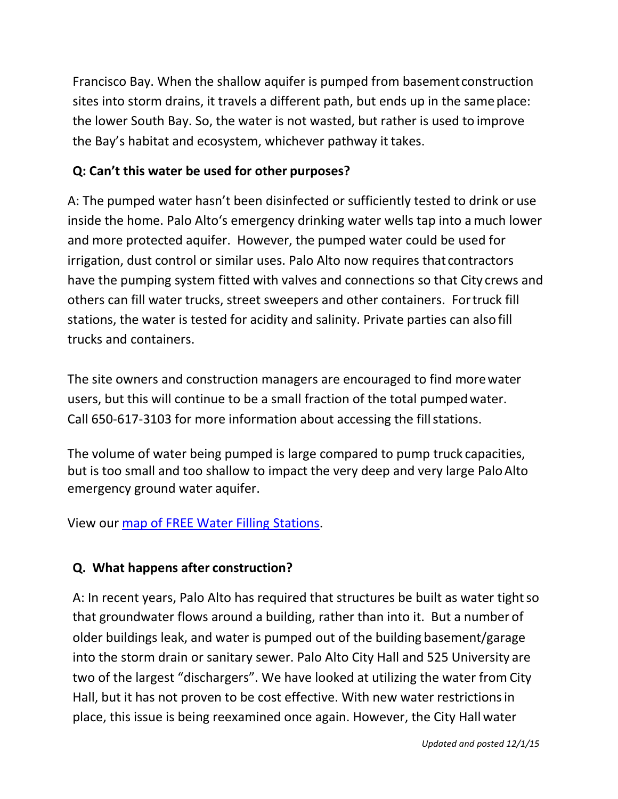Francisco Bay. When the shallow aquifer is pumped from basementconstruction sites into storm drains, it travels a different path, but ends up in the sameplace: the lower South Bay. So, the water is not wasted, but rather is used to improve the Bay's habitat and ecosystem, whichever pathway it takes.

### **Q: Can't this water be used for other purposes?**

A: The pumped water hasn't been disinfected or sufficiently tested to drink or use inside the home. Palo Alto's emergency drinking water wells tap into amuch lower and more protected aquifer. However, the pumped water could be used for irrigation, dust control or similar uses. Palo Alto now requires that contractors have the pumping system fitted with valves and connections so that City crews and others can fill water trucks, street sweepers and other containers. Fortruck fill stations, the water is tested for acidity and salinity. Private parties can also fill trucks and containers.

The site owners and construction managers are encouraged to find morewater users, but this will continue to be a small fraction of the total pumpedwater. Call 650-617-3103 for more information about accessing the fill stations.

The volume of water being pumped is large compared to pump truck capacities, but is too small and too shallow to impact the very deep and very large PaloAlto emergency ground water aquifer.

View our [map of FREE Water Filling](https://www.google.com/maps/d/viewer?usp=sharing&mid=zY_6Y5e9pPDc.k02X4My5Gos0) Stations.

### **Q. What happens after construction?**

A: In recent years, Palo Alto has required that structures be built as water tight so that groundwater flows around a building, rather than into it. But a number of older buildings leak, and water is pumped out of the building basement/garage into the storm drain or sanitary sewer. Palo Alto City Hall and 525 University are two of the largest "dischargers". We have looked at utilizing the water from City Hall, but it has not proven to be cost effective. With new water restrictionsin place, this issue is being reexamined once again. However, the City Hall water